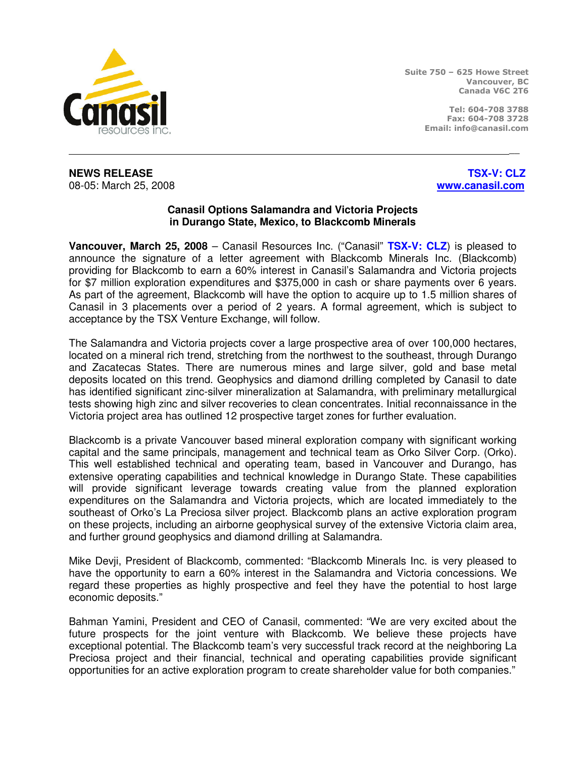

Suite 750 – 625 Howe Street Vancouver, BC Canada V6C 2T6

> Tel: 604-708 3788 Fax: 604-708 3728 Email: info@canasil.com

**NEWS RELEASE** THE RELOCAL CONSULTANCE IN THE RELOCAL CONSULTANCE IN THE RELOCAL CONSULTANCE IN THE RELOCAL CONSULTANCE IN THE RELOCAL CONSULTANCE IN THE RELOCAL CONSULTANCE IN THE RELOCAL CONSULTANCE IN THE RELOCAL CONSUL 08-05: March 25, 2008 **www.canasil.com**

## **Canasil Options Salamandra and Victoria Projects in Durango State, Mexico, to Blackcomb Minerals**

\_\_

**Vancouver, March 25, 2008** – Canasil Resources Inc. ("Canasil" **TSX-V: CLZ**) is pleased to announce the signature of a letter agreement with Blackcomb Minerals Inc. (Blackcomb) providing for Blackcomb to earn a 60% interest in Canasil's Salamandra and Victoria projects for \$7 million exploration expenditures and \$375,000 in cash or share payments over 6 years. As part of the agreement, Blackcomb will have the option to acquire up to 1.5 million shares of Canasil in 3 placements over a period of 2 years. A formal agreement, which is subject to acceptance by the TSX Venture Exchange, will follow.

The Salamandra and Victoria projects cover a large prospective area of over 100,000 hectares, located on a mineral rich trend, stretching from the northwest to the southeast, through Durango and Zacatecas States. There are numerous mines and large silver, gold and base metal deposits located on this trend. Geophysics and diamond drilling completed by Canasil to date has identified significant zinc-silver mineralization at Salamandra, with preliminary metallurgical tests showing high zinc and silver recoveries to clean concentrates. Initial reconnaissance in the Victoria project area has outlined 12 prospective target zones for further evaluation.

Blackcomb is a private Vancouver based mineral exploration company with significant working capital and the same principals, management and technical team as Orko Silver Corp. (Orko). This well established technical and operating team, based in Vancouver and Durango, has extensive operating capabilities and technical knowledge in Durango State. These capabilities will provide significant leverage towards creating value from the planned exploration expenditures on the Salamandra and Victoria projects, which are located immediately to the southeast of Orko's La Preciosa silver project. Blackcomb plans an active exploration program on these projects, including an airborne geophysical survey of the extensive Victoria claim area, and further ground geophysics and diamond drilling at Salamandra.

Mike Devji, President of Blackcomb, commented: "Blackcomb Minerals Inc. is very pleased to have the opportunity to earn a 60% interest in the Salamandra and Victoria concessions. We regard these properties as highly prospective and feel they have the potential to host large economic deposits."

Bahman Yamini, President and CEO of Canasil, commented: "We are very excited about the future prospects for the joint venture with Blackcomb. We believe these projects have exceptional potential. The Blackcomb team's very successful track record at the neighboring La Preciosa project and their financial, technical and operating capabilities provide significant opportunities for an active exploration program to create shareholder value for both companies."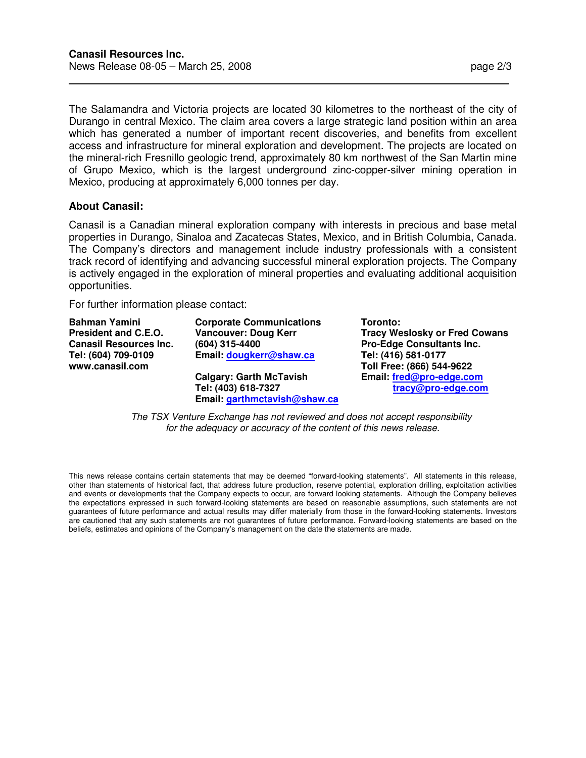The Salamandra and Victoria projects are located 30 kilometres to the northeast of the city of Durango in central Mexico. The claim area covers a large strategic land position within an area which has generated a number of important recent discoveries, and benefits from excellent access and infrastructure for mineral exploration and development. The projects are located on the mineral-rich Fresnillo geologic trend, approximately 80 km northwest of the San Martin mine of Grupo Mexico, which is the largest underground zinc-copper-silver mining operation in Mexico, producing at approximately 6,000 tonnes per day.

## **About Canasil:**

 $\overline{a}$ 

Canasil is a Canadian mineral exploration company with interests in precious and base metal properties in Durango, Sinaloa and Zacatecas States, Mexico, and in British Columbia, Canada. The Company's directors and management include industry professionals with a consistent track record of identifying and advancing successful mineral exploration projects. The Company is actively engaged in the exploration of mineral properties and evaluating additional acquisition opportunities.

For further information please contact:

**Bahman Yamini President and C.E.O. Canasil Resources Inc. Tel: (604) 709-0109 www.canasil.com** 

**Corporate Communications Vancouver: Doug Kerr (604) 315-4400 Email: dougkerr@shaw.ca Calgary: Garth McTavish** 

**Tel: (403) 618-7327 Email: garthmctavish@shaw.ca**  **Toronto: Tracy Weslosky or Fred Cowans Pro-Edge Consultants Inc. Tel: (416) 581-0177 Toll Free: (866) 544-9622 Email: fred@pro-edge.com tracy@pro-edge.com**

The TSX Venture Exchange has not reviewed and does not accept responsibility for the adequacy or accuracy of the content of this news release.

This news release contains certain statements that may be deemed "forward-looking statements". All statements in this release, other than statements of historical fact, that address future production, reserve potential, exploration drilling, exploitation activities and events or developments that the Company expects to occur, are forward looking statements. Although the Company believes the expectations expressed in such forward-looking statements are based on reasonable assumptions, such statements are not guarantees of future performance and actual results may differ materially from those in the forward-looking statements. Investors are cautioned that any such statements are not guarantees of future performance. Forward-looking statements are based on the beliefs, estimates and opinions of the Company's management on the date the statements are made.